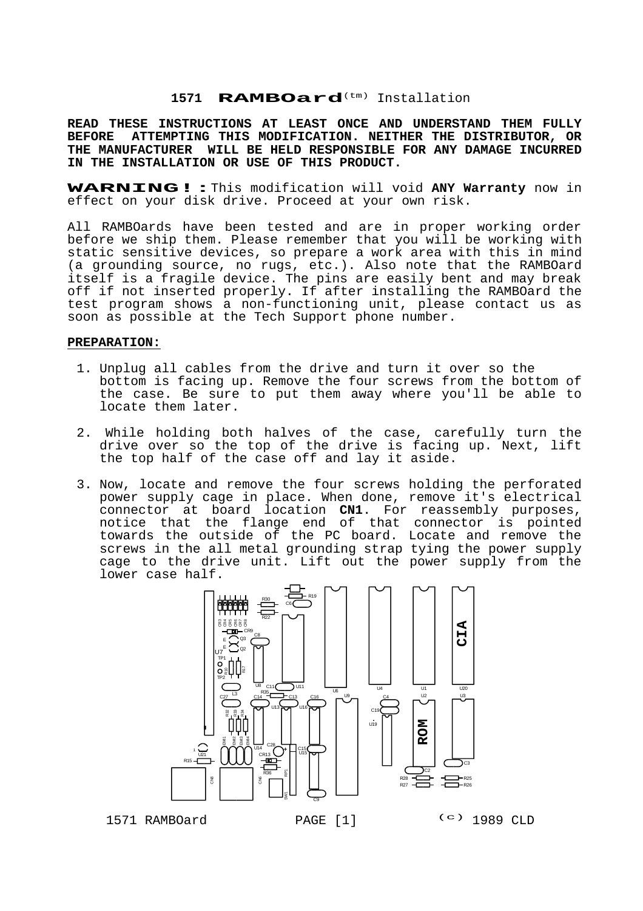#### 1571 **RAMBOard**<sup>(tm)</sup> Installation

**READ THESE INSTRUCTIONS AT LEAST ONCE AND UNDERSTAND THEM FULLY BEFORE ATTEMPTING THIS MODIFICATION. NEITHER THE DISTRIBUTOR, OR THE MANUFACTURER WILL BE HELD RESPONSIBLE FOR ANY DAMAGE INCURRED IN THE INSTALLATION OR USE OF THIS PRODUCT.**

**WARNING!:**This modification will void **ANY Warranty** now in effect on your disk drive. Proceed at your own risk.

All RAMBOards have been tested and are in proper working order before we ship them. Please remember that you will be working with static sensitive devices, so prepare a work area with this in mind (a grounding source, no rugs, etc.). Also note that the RAMBOard itself is a fragile device. The pins are easily bent and may break off if not inserted properly. If after installing the RAMBOard the test program shows a non-functioning unit, please contact us as soon as possible at the Tech Support phone number.

#### **PREPARATION:**

- 1. Unplug all cables from the drive and turn it over so the bottom is facing up. Remove the four screws from the bottom of the case. Be sure to put them away where you'll be able to locate them later.
- 2. While holding both halves of the case, carefully turn the drive over so the top of the drive is facing up. Next, lift the top half of the case off and lay it aside.
- 3. Now, locate and remove the four screws holding the perforated power supply cage in place. When done, remove it's electrical connector at board location **CN1**. For reassembly purposes, notice that the flange end of that connector is pointed towards the outside of the PC board. Locate and remove the screws in the all metal grounding strap tying the power supply cage to the drive unit. Lift out the power supply from the lower case half.



1571 RAMBOard PAGE [1] (c) 1989 CLD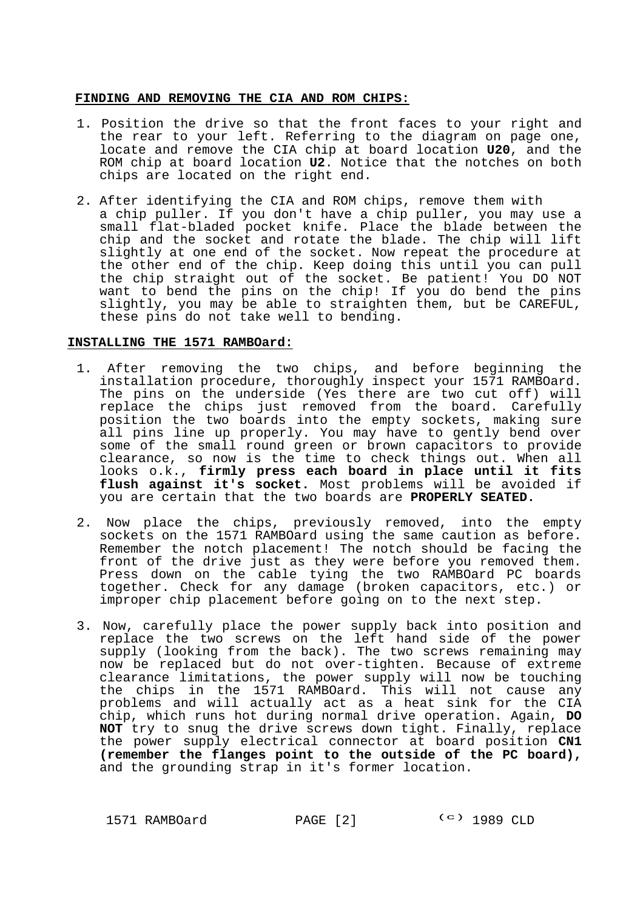## **FINDING AND REMOVING THE CIA AND ROM CHIPS:**

- 1. Position the drive so that the front faces to your right and the rear to your left. Referring to the diagram on page one, locate and remove the CIA chip at board location **U20**, and the ROM chip at board location **U2**. Notice that the notches on both chips are located on the right end.
- 2. After identifying the CIA and ROM chips, remove them with a chip puller. If you don't have a chip puller, you may use a small flat-bladed pocket knife. Place the blade between the chip and the socket and rotate the blade. The chip will lift slightly at one end of the socket. Now repeat the procedure at the other end of the chip. Keep doing this until you can pull the chip straight out of the socket. Be patient! You DO NOT want to bend the pins on the chip! If you do bend the pins slightly, you may be able to straighten them, but be CAREFUL, these pins do not take well to bending.

### **INSTALLING THE 1571 RAMBOard:**

- 1. After removing the two chips, and before beginning the installation procedure, thoroughly inspect your 1571 RAMBOard. The pins on the underside (Yes there are two cut off) will replace the chips just removed from the board. Carefully position the two boards into the empty sockets, making sure all pins line up properly. You may have to gently bend over some of the small round green or brown capacitors to provide clearance, so now is the time to check things out. When all looks o.k., **firmly press each board in place until it fits** flush against it's socket. Most problems will be avoided if you are certain that the two boards are **PROPERLY SEATED.**
- 2. Now place the chips, previously removed, into the empty sockets on the 1571 RAMBOard using the same caution as before. Remember the notch placement! The notch should be facing the front of the drive just as they were before you removed them. Press down on the cable tying the two RAMBOard PC boards together. Check for any damage (broken capacitors, etc.) or improper chip placement before going on to the next step.
- 3. Now, carefully place the power supply back into position and replace the two screws on the left hand side of the power supply (looking from the back). The two screws remaining may now be replaced but do not over-tighten. Because of extreme clearance limitations, the power supply will now be touching the chips in the 1571 RAMBOard. This will not cause any problems and will actually act as a heat sink for the CIA chip, which runs hot during normal drive operation. Again, **DO NOT** try to snug the drive screws down tight. Finally, replace the power supply electrical connector at board position **CN1 (remember the flanges point to the outside of the PC board),** and the grounding strap in it's former location.

1571 RAMBOard PAGE [2] (c) 1989 CLD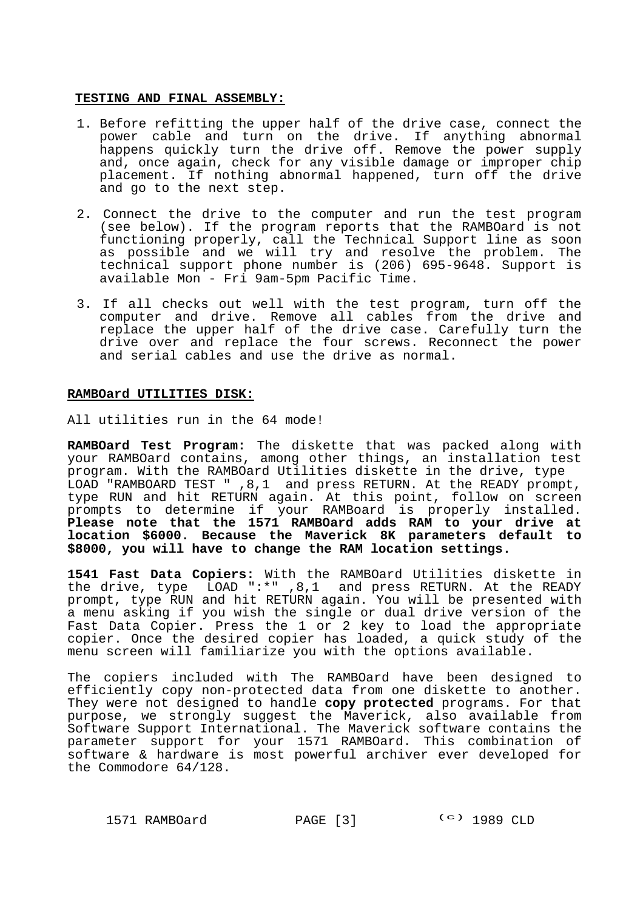### **TESTING AND FINAL ASSEMBLY:**

- 1. Before refitting the upper half of the drive case, connect the power cable and turn on the drive. If anything abnormal happens quickly turn the drive off. Remove the power supply and, once again, check for any visible damage or improper chip placement. If nothing abnormal happened, turn off the drive and go to the next step.
- 2. Connect the drive to the computer and run the test program (see below). If the program reports that the RAMBOard is not functioning properly, call the Technical Support line as soon as possible and we will try and resolve the problem. The technical support phone number is (206) 695-9648. Support is available Mon - Fri 9am-5pm Pacific Time.
- 3. If all checks out well with the test program, turn off the computer and drive. Remove all cables from the drive and replace the upper half of the drive case. Carefully turn the drive over and replace the four screws. Reconnect the power and serial cables and use the drive as normal.

### **RAMBOard UTILITIES DISK:**

All utilities run in the 64 mode!

**RAMBOard Test Program:** The diskette that was packed along with your RAMBOard contains, among other things, an installation test program. With the RAMBOard Utilities diskette in the drive, type LOAD "RAMBOARD TEST " ,8,1 and press RETURN. At the READY prompt, type RUN and hit RETURN again. At this point, follow on screen prompts to determine if your RAMBoard is properly installed. **Please note that the 1571 RAMBOard adds RAM to your drive at location \$6000. Because the Maverick 8K parameters default to \$8000, you will have to change the RAM location settings.**

**1541 Fast Data Copiers:** With the RAMBOard Utilities diskette in the drive, type LOAD ":\*" ,8,1 and press RETURN. At the READY prompt, type RUN and hit RETURN again. You will be presented with a menu asking if you wish the single or dual drive version of the Fast Data Copier. Press the 1 or 2 key to load the appropriate copier. Once the desired copier has loaded, a quick study of the menu screen will familiarize you with the options available.

The copiers included with The RAMBOard have been designed to efficiently copy non-protected data from one diskette to another. They were not designed to handle **copy protected** programs. For that purpose, we strongly suggest the Maverick, also available from Software Support International. The Maverick software contains the parameter support for your 1571 RAMBOard. This combination of software & hardware is most powerful archiver ever developed for the Commodore 64/128.